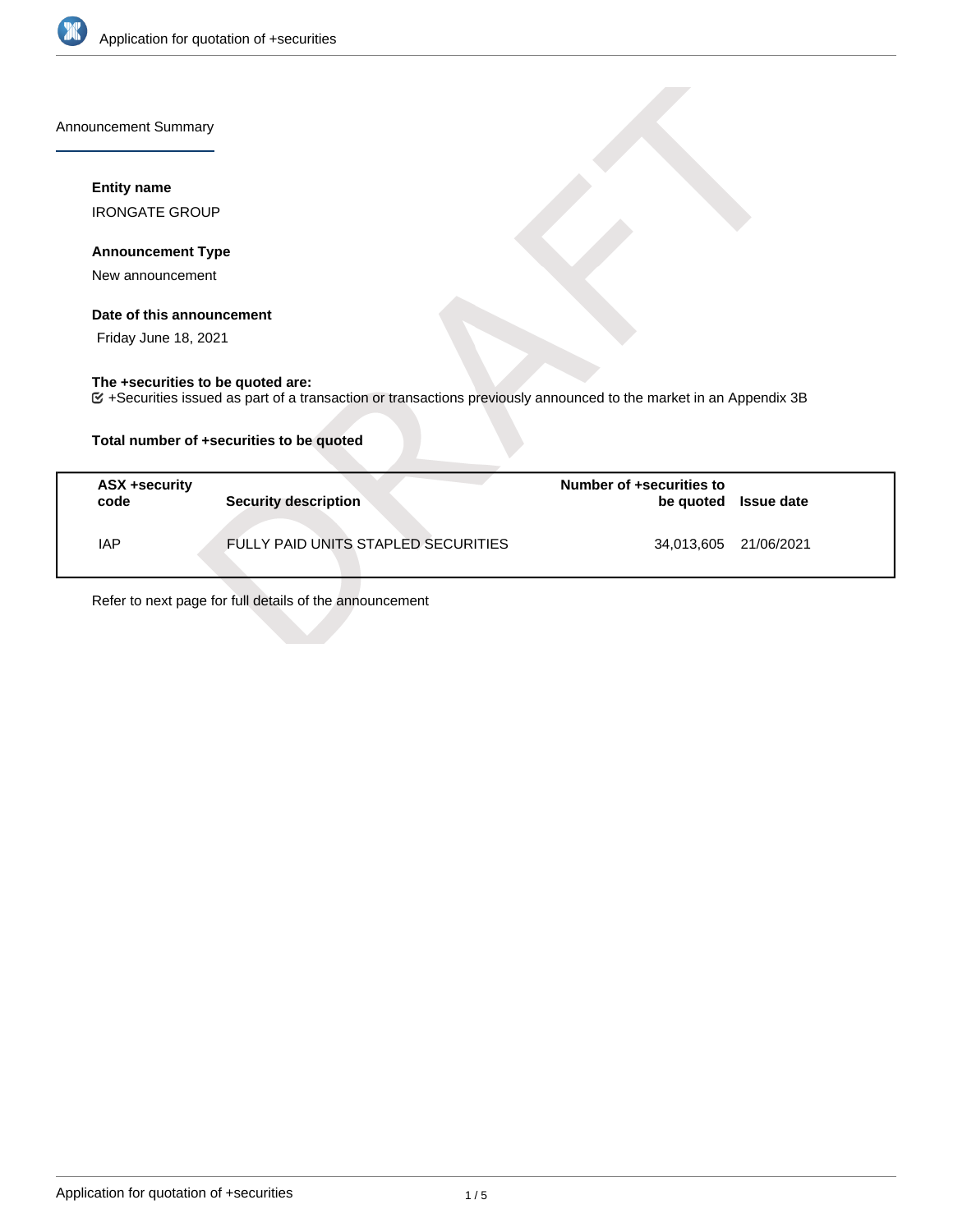

Announcement Summary

### **Entity name**

IRONGATE GROUP

## **Announcement Type**

New announcement

#### **Date of this announcement**

Friday June 18, 2021

# **The +securities to be quoted are:**

+Securities issued as part of a transaction or transactions previously announced to the market in an Appendix 3B

## **Total number of +securities to be quoted**

| ASX +security<br>code | <b>Security description</b>         | Number of +securities to<br>be quoted Issue date |  |
|-----------------------|-------------------------------------|--------------------------------------------------|--|
| IAP                   | FULLY PAID UNITS STAPLED SECURITIES | 34,013,605 21/06/2021                            |  |

Refer to next page for full details of the announcement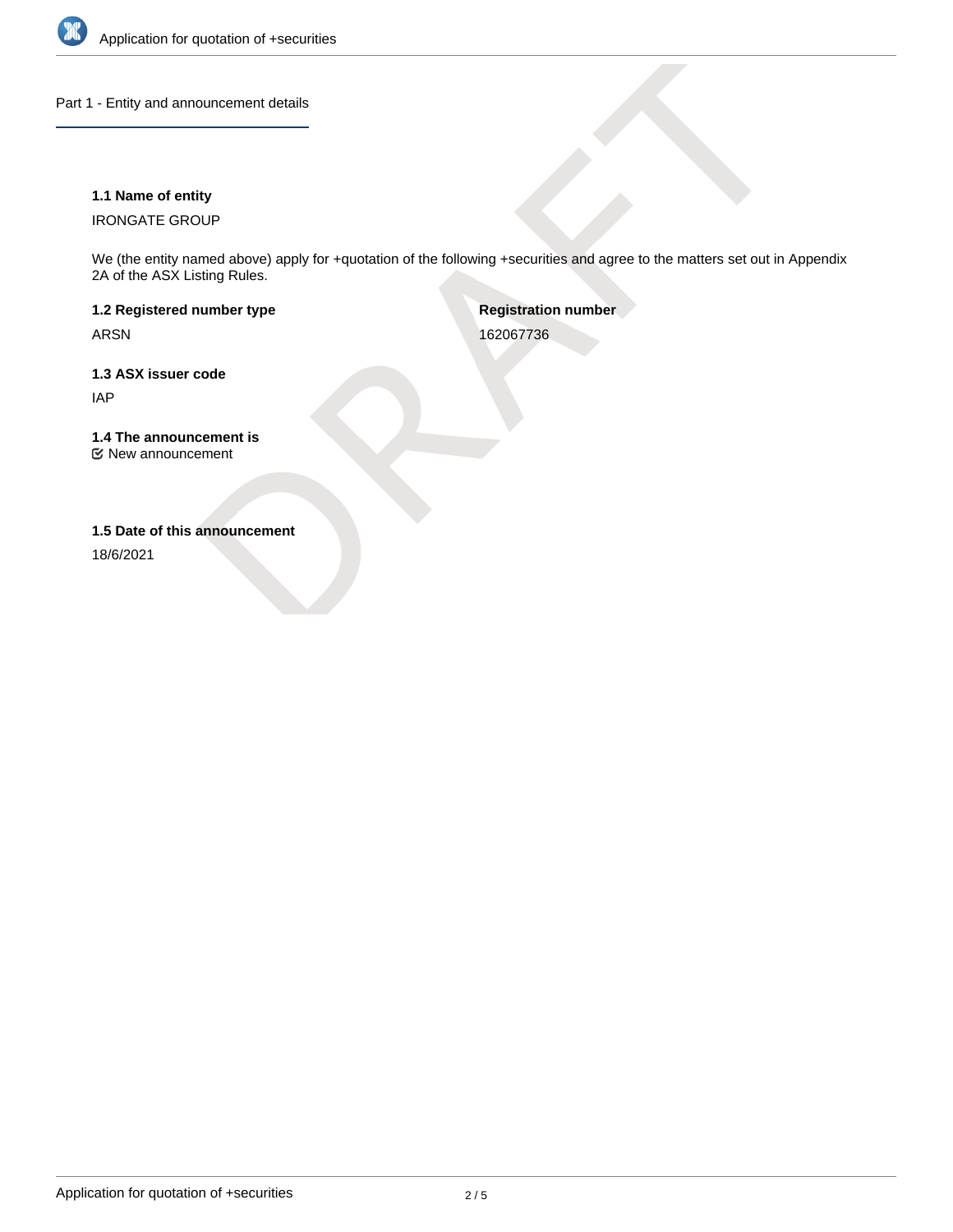

Part 1 - Entity and announcement details

## **1.1 Name of entity**

IRONGATE GROUP

We (the entity named above) apply for +quotation of the following +securities and agree to the matters set out in Appendix 2A of the ASX Listing Rules.

**1.2 Registered number type** ARSN

**Registration number** 162067736

**1.3 ASX issuer code** IAP

**1.4 The announcement is** New announcement

**1.5 Date of this announcement**

18/6/2021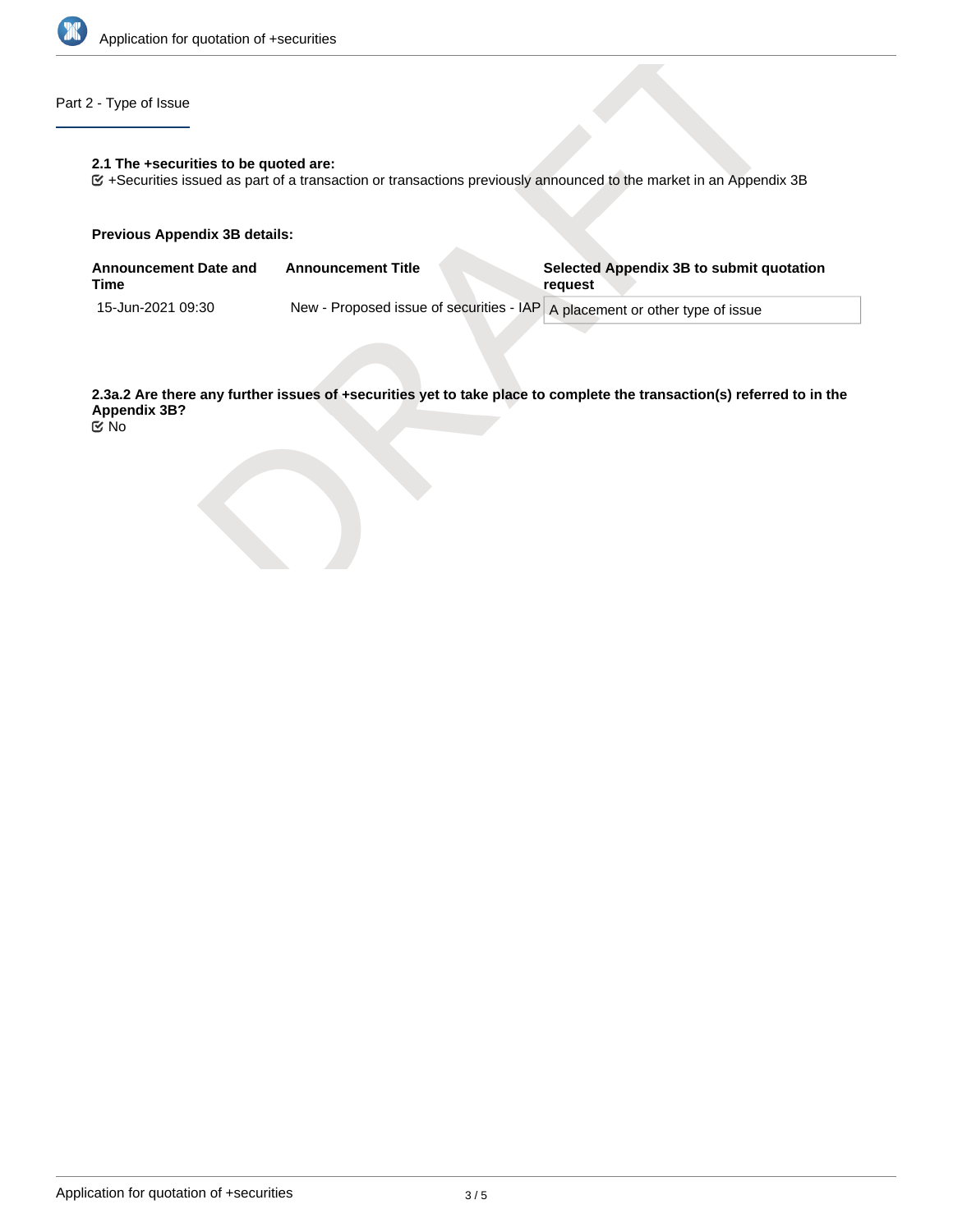

# Part 2 - Type of Issue

#### **2.1 The +securities to be quoted are:**

+Securities issued as part of a transaction or transactions previously announced to the market in an Appendix 3B

#### **Previous Appendix 3B details:**

| <b>Announcement Date and</b><br>Time | <b>Announcement Title</b> | Selected Appendix 3B to submit quotation<br>request                         |
|--------------------------------------|---------------------------|-----------------------------------------------------------------------------|
| 15-Jun-2021 09:30                    |                           | New - Proposed issue of securities - IAP A placement or other type of issue |

**2.3a.2 Are there any further issues of +securities yet to take place to complete the transaction(s) referred to in the Appendix 3B?**

No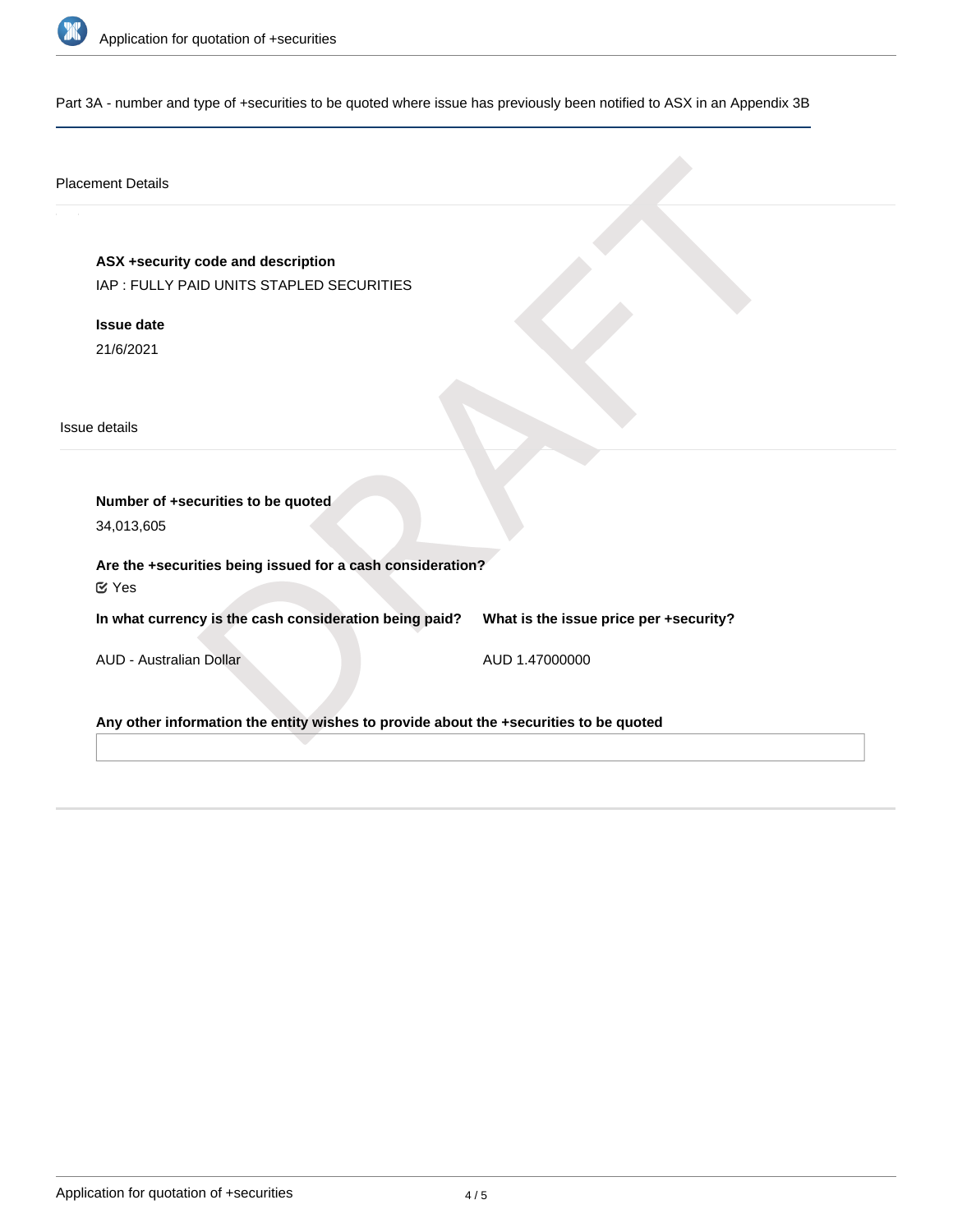

Part 3A - number and type of +securities to be quoted where issue has previously been notified to ASX in an Appendix 3B

## Placement Details

**ASX +security code and description**

IAP : FULLY PAID UNITS STAPLED SECURITIES

**Issue date** 21/6/2021

Issue details

**Number of +securities to be quoted** 34,013,605

**Are the +securities being issued for a cash consideration?**

Yes

**In what currency is the cash consideration being paid?**

**What is the issue price per +security?**

AUD - Australian Dollar

AUD 1.47000000

**Any other information the entity wishes to provide about the +securities to be quoted**